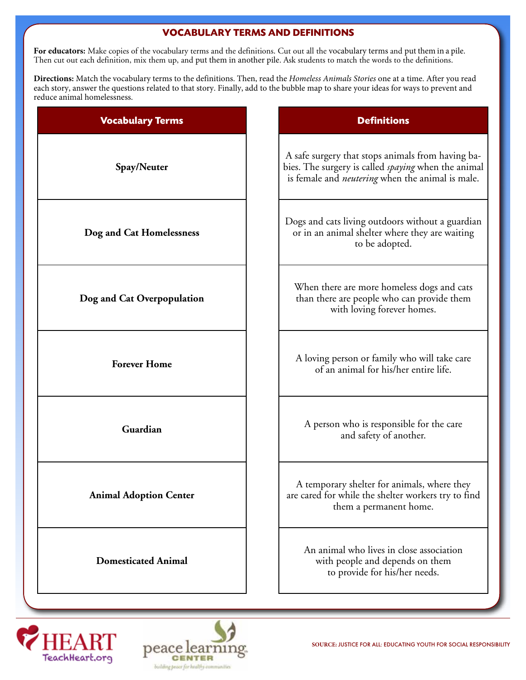#### **VOCABULARY TERMS AND DEFINITIONS**

For educators: Make copies of the vocabulary terms and the definitions. Cut out all the vocabulary terms and put them in a pile. Then cut out each definition, mix them up, and put them in another pile. Ask students to match the words to the definitions.

**Directions:** Match the vocabulary terms to the definitions. Then, read the *Homeless Animals Stories* one at a time. After you read each story, answer the questions related to that story. Finally, add to the bubble map to share your ideas for ways to prevent and reduce animal homelessness.

| <b>Vocabulary Terms</b>       | <b>Definitions</b>                                                                                                                                                  |
|-------------------------------|---------------------------------------------------------------------------------------------------------------------------------------------------------------------|
| Spay/Neuter                   | A safe surgery that stops animals from having ba-<br>bies. The surgery is called spaying when the animal<br>is female and <i>neutering</i> when the animal is male. |
| Dog and Cat Homelessness      | Dogs and cats living outdoors without a guardian<br>or in an animal shelter where they are waiting<br>to be adopted.                                                |
| Dog and Cat Overpopulation    | When there are more homeless dogs and cats<br>than there are people who can provide them<br>with loving forever homes.                                              |
| <b>Forever Home</b>           | A loving person or family who will take care<br>of an animal for his/her entire life.                                                                               |
| Guardian                      | A person who is responsible for the care<br>and safety of another.                                                                                                  |
| <b>Animal Adoption Center</b> | A temporary shelter for animals, where they<br>are cared for while the shelter workers try to find<br>them a permanent home.                                        |
| <b>Domesticated Animal</b>    | An animal who lives in close association<br>with people and depends on them<br>to provide for his/her needs.                                                        |
|                               |                                                                                                                                                                     |





**SOURCE:** JUSTICE FOR ALL: EDUCATING YOUTH FOR SOCIAL RESPONSIBILITY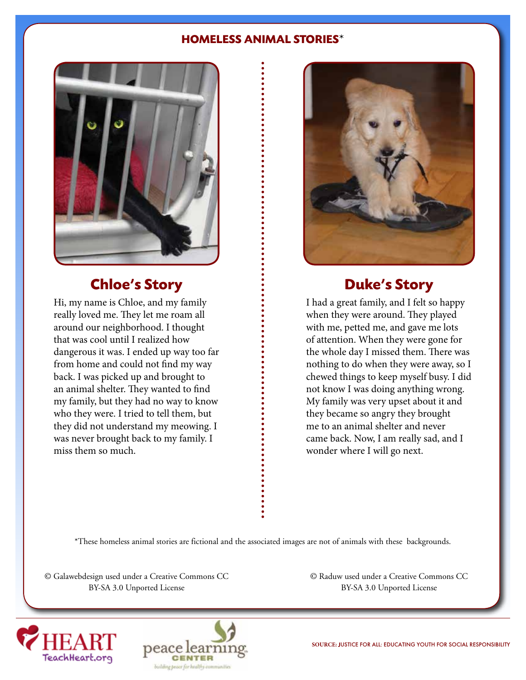#### **HOMELESS ANIMAL STORIES**\*



### **Chloe's Story**

Hi, my name is Chloe, and my family really loved me. They let me roam all around our neighborhood. I thought that was cool until I realized how dangerous it was. I ended up way too far from home and could not find my way back. I was picked up and brought to an animal shelter. They wanted to find my family, but they had no way to know who they were. I tried to tell them, but they did not understand my meowing. I was never brought back to my family. I miss them so much.



### **Duke's Story**

I had a great family, and I felt so happy when they were around. They played with me, petted me, and gave me lots of attention. When they were gone for the whole day I missed them. There was nothing to do when they were away, so I chewed things to keep myself busy. I did not know I was doing anything wrong. My family was very upset about it and they became so angry they brought me to an animal shelter and never came back. Now, I am really sad, and I wonder where I will go next.

\*These homeless animal stories are fictional and the associated images are not of animals with these backgrounds.

© Galawebdesign used under a Creative Commons CC BY-SA 3.0 Unported License

© Raduw used under a Creative Commons CC BY-SA 3.0 Unported License





**SOURCE:** JUSTICE FOR ALL: EDUCATING YOUTH FOR SOCIAL RESPONSIBILITY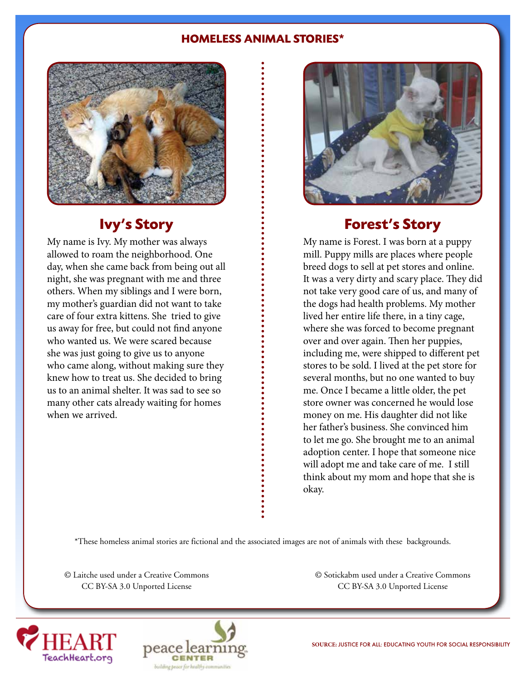#### **HOMELESS ANIMAL STORIES\***



### **Ivy's Story**

My name is Ivy. My mother was always allowed to roam the neighborhood. One day, when she came back from being out all night, she was pregnant with me and three others. When my siblings and I were born, my mother's guardian did not want to take care of four extra kittens. She tried to give us away for free, but could not find anyone who wanted us. We were scared because she was just going to give us to anyone who came along, without making sure they knew how to treat us. She decided to bring us to an animal shelter. It was sad to see so many other cats already waiting for homes when we arrived.



### **Forest's Story**

My name is Forest. I was born at a puppy mill. Puppy mills are places where people breed dogs to sell at pet stores and online. It was a very dirty and scary place. They did not take very good care of us, and many of the dogs had health problems. My mother lived her entire life there, in a tiny cage, where she was forced to become pregnant over and over again. Then her puppies, including me, were shipped to different pet stores to be sold. I lived at the pet store for several months, but no one wanted to buy me. Once I became a little older, the pet store owner was concerned he would lose money on me. His daughter did not like her father's business. She convinced him to let me go. She brought me to an animal adoption center. I hope that someone nice will adopt me and take care of me. I still think about my mom and hope that she is okay.

\*These homeless animal stories are fictional and the associated images are not of animals with these backgrounds.

© Laitche used under a Creative Commons CC BY-SA 3.0 Unported License

© Sotickabm used under a Creative Commons CC BY-SA 3.0 Unported License



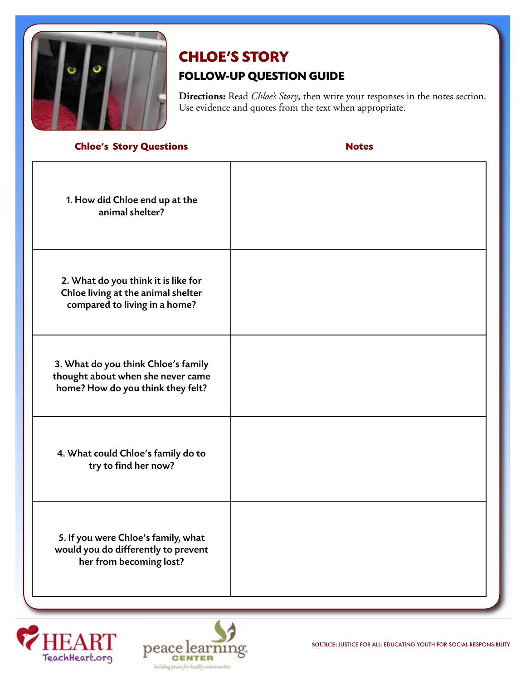

# **CHLOE'S STORY FOLLOW-UP QUESTION GUIDE**

**Directions:** Read *Chloe's Story*, then write your responses in the notes section. Use evidence and quotes from the text when appropriate.

#### **Chloe's Story Questions Notes**

| 1. How did Chloe end up at the<br>animal shelter?                                                             |  |
|---------------------------------------------------------------------------------------------------------------|--|
| 2. What do you think it is like for<br>Chloe living at the animal shelter<br>compared to living in a home?    |  |
| 3. What do you think Chloe's family<br>thought about when she never came<br>home? How do you think they felt? |  |
| 4. What could Chloe's family do to<br>try to find her now?                                                    |  |
| 5. If you were Chloe's family, what<br>would you do differently to prevent<br>her from becoming lost?         |  |



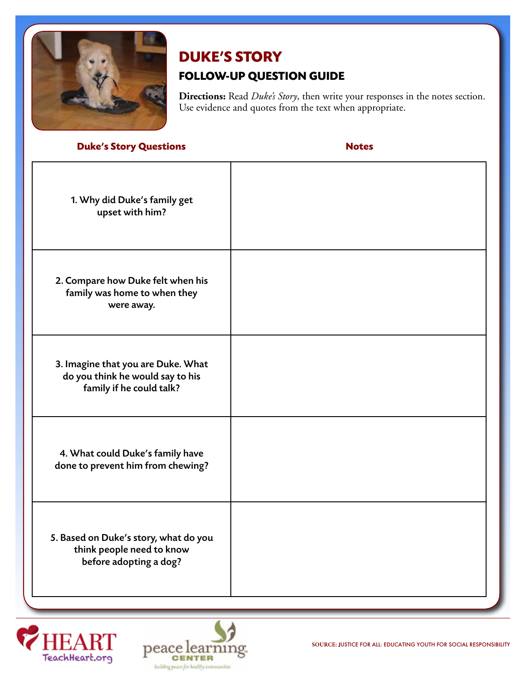

# **DUKE'S STORY FOLLOW-UP QUESTION GUIDE**

**Directions:** Read *Duke's Story*, then write your responses in the notes section. Use evidence and quotes from the text when appropriate.

#### **Duke's Story Questions Notes**

| 1. Why did Duke's family get<br>upset with him?                                                    |  |
|----------------------------------------------------------------------------------------------------|--|
| 2. Compare how Duke felt when his<br>family was home to when they<br>were away.                    |  |
| 3. Imagine that you are Duke. What<br>do you think he would say to his<br>family if he could talk? |  |
| 4. What could Duke's family have<br>done to prevent him from chewing?                              |  |
| 5. Based on Duke's story, what do you<br>think people need to know<br>before adopting a dog?       |  |



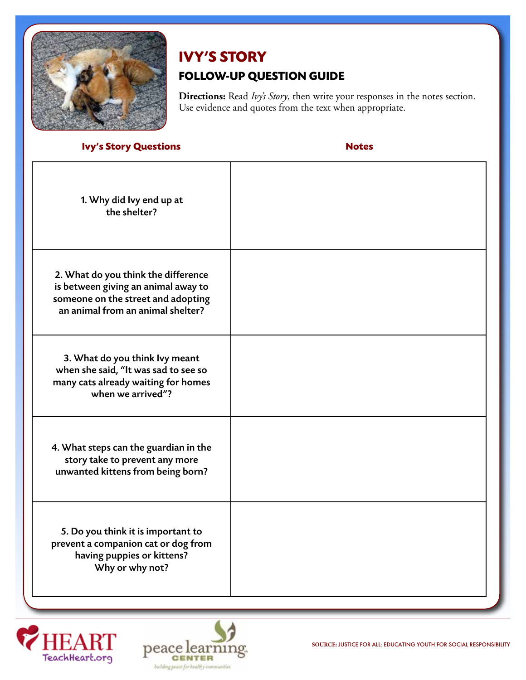

# **IVY'S STORY FOLLOW-UP QUESTION GUIDE**

**Directions:** Read *Ivy's Story*, then write your responses in the notes section. Use evidence and quotes from the text when appropriate.

#### **Ivy's Story Questions Notes**

| 1. Why did Ivy end up at<br>the shelter?                                                                                                              |  |
|-------------------------------------------------------------------------------------------------------------------------------------------------------|--|
| 2. What do you think the difference<br>is between giving an animal away to<br>someone on the street and adopting<br>an animal from an animal shelter? |  |
| 3. What do you think lvy meant<br>when she said, "It was sad to see so<br>many cats already waiting for homes<br>when we arrived"?                    |  |
| 4. What steps can the guardian in the<br>story take to prevent any more<br>unwanted kittens from being born?                                          |  |
| 5. Do you think it is important to<br>prevent a companion cat or dog from<br>having puppies or kittens?<br>Why or why not?                            |  |



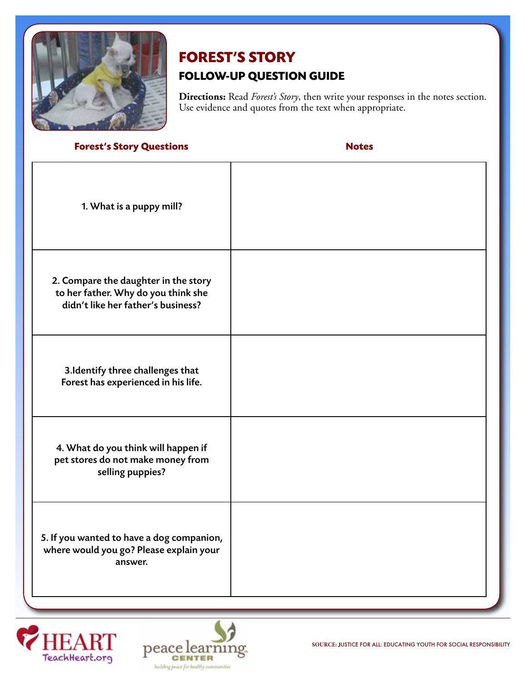

# **FOREST'S STORY**

### **FOLLOW-UP QUESTION GUIDE**

**Directions:** Read *Forest's Story*, then write your responses in the notes section. Use evidence and quotes from the text when appropriate.

**Forest's Story Questions Notes**

| 1. What is a puppy mill?                                                                                          |  |
|-------------------------------------------------------------------------------------------------------------------|--|
| 2. Compare the daughter in the story<br>to her father. Why do you think she<br>didn't like her father's business? |  |
| 3. Identify three challenges that<br>Forest has experienced in his life.                                          |  |
| 4. What do you think will happen if<br>pet stores do not make money from<br>selling puppies?                      |  |
| 5. If you wanted to have a dog companion,<br>where would you go? Please explain your<br>answer.                   |  |